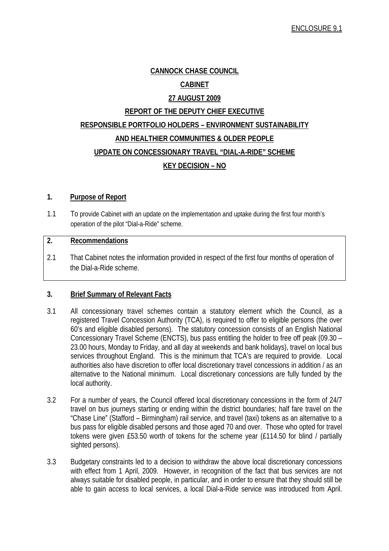# **CANNOCK CHASE COUNCIL**

# **CABINET**

## **27 AUGUST 2009**

# **REPORT OF THE DEPUTY CHIEF EXECUTIVE RESPONSIBLE PORTFOLIO HOLDERS – ENVIRONMENT SUSTAINABILITY AND HEALTHIER COMMUNITIES & OLDER PEOPLE UPDATE ON CONCESSIONARY TRAVEL "DIAL-A-RIDE" SCHEME KEY DECISION – NO**

### **1. Purpose of Report**

1.1 To provide Cabinet with an update on the implementation and uptake during the first four month's operation of the pilot "Dial-a-Ride" scheme.

#### **2. Recommendations**

2.1 That Cabinet notes the information provided in respect of the first four months of operation of the Dial-a-Ride scheme.

# **3. Brief Summary of Relevant Facts**

- 3.1 All concessionary travel schemes contain a statutory element which the Council, as a registered Travel Concession Authority (TCA), is required to offer to eligible persons (the over 60's and eligible disabled persons). The statutory concession consists of an English National Concessionary Travel Scheme (ENCTS), bus pass entitling the holder to free off peak (09.30 – 23.00 hours, Monday to Friday, and all day at weekends and bank holidays), travel on local bus services throughout England. This is the minimum that TCA's are required to provide. Local authorities also have discretion to offer local discretionary travel concessions in addition / as an alternative to the National minimum. Local discretionary concessions are fully funded by the local authority.
- 3.2 For a number of years, the Council offered local discretionary concessions in the form of 24/7 travel on bus journeys starting or ending within the district boundaries; half fare travel on the "Chase Line" (Stafford – Birmingham) rail service, and travel (taxi) tokens as an alternative to a bus pass for eligible disabled persons and those aged 70 and over. Those who opted for travel tokens were given £53.50 worth of tokens for the scheme year (£114.50 for blind / partially sighted persons).
- 3.3 Budgetary constraints led to a decision to withdraw the above local discretionary concessions with effect from 1 April, 2009. However, in recognition of the fact that bus services are not always suitable for disabled people, in particular, and in order to ensure that they should still be able to gain access to local services, a local Dial-a-Ride service was introduced from April.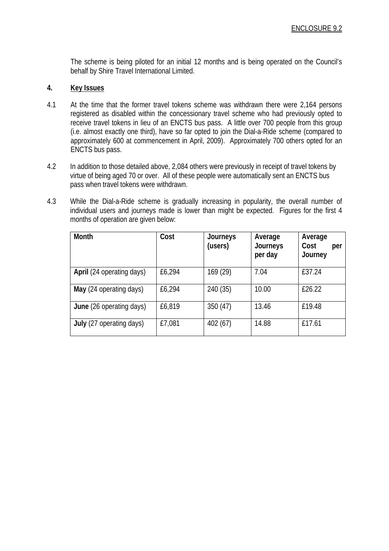The scheme is being piloted for an initial 12 months and is being operated on the Council's behalf by Shire Travel International Limited.

### **4. Key Issues**

- 4.1 At the time that the former travel tokens scheme was withdrawn there were 2,164 persons registered as disabled within the concessionary travel scheme who had previously opted to receive travel tokens in lieu of an ENCTS bus pass. A little over 700 people from this group (i.e. almost exactly one third), have so far opted to join the Dial-a-Ride scheme (compared to approximately 600 at commencement in April, 2009). Approximately 700 others opted for an ENCTS bus pass.
- 4.2 In addition to those detailed above, 2,084 others were previously in receipt of travel tokens by virtue of being aged 70 or over. All of these people were automatically sent an ENCTS bus pass when travel tokens were withdrawn.
- 4.3 While the Dial-a-Ride scheme is gradually increasing in popularity, the overall number of individual users and journeys made is lower than might be expected. Figures for the first 4 months of operation are given below:

| Month                     | Cost   | Journeys<br>(users) | Average<br>Journeys<br>per day | Average<br>Cost<br>per<br>Journey |
|---------------------------|--------|---------------------|--------------------------------|-----------------------------------|
| April (24 operating days) | £6,294 | 169 (29)            | 7.04                           | £37.24                            |
| May (24 operating days)   | £6,294 | 240 (35)            | 10.00                          | £26.22                            |
| June (26 operating days)  | £6,819 | 350(47)             | 13.46                          | £19.48                            |
| July (27 operating days)  | £7,081 | 402(67)             | 14.88                          | £17.61                            |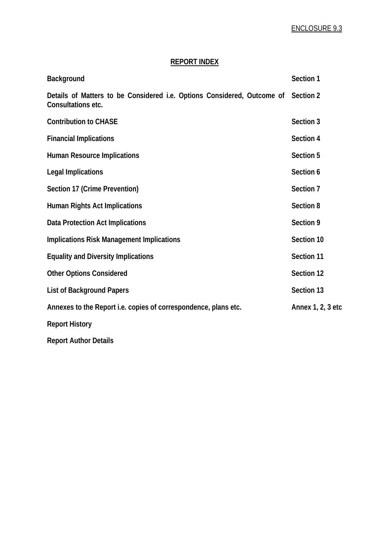# **REPORT INDEX**

| Background                                                                                              | Section 1         |
|---------------------------------------------------------------------------------------------------------|-------------------|
| Details of Matters to be Considered i.e. Options Considered, Outcome of Section 2<br>Consultations etc. |                   |
| <b>Contribution to CHASE</b>                                                                            | Section 3         |
| <b>Financial Implications</b>                                                                           | Section 4         |
| <b>Human Resource Implications</b>                                                                      | Section 5         |
| <b>Legal Implications</b>                                                                               | Section 6         |
| Section 17 (Crime Prevention)                                                                           | Section 7         |
| <b>Human Rights Act Implications</b>                                                                    | Section 8         |
| <b>Data Protection Act Implications</b>                                                                 | Section 9         |
| <b>Implications Risk Management Implications</b>                                                        | Section 10        |
| <b>Equality and Diversity Implications</b>                                                              | Section 11        |
| <b>Other Options Considered</b>                                                                         | Section 12        |
| <b>List of Background Papers</b>                                                                        | Section 13        |
| Annexes to the Report i.e. copies of correspondence, plans etc.                                         | Annex 1, 2, 3 etc |
| <b>Report History</b>                                                                                   |                   |
| <b>Report Author Details</b>                                                                            |                   |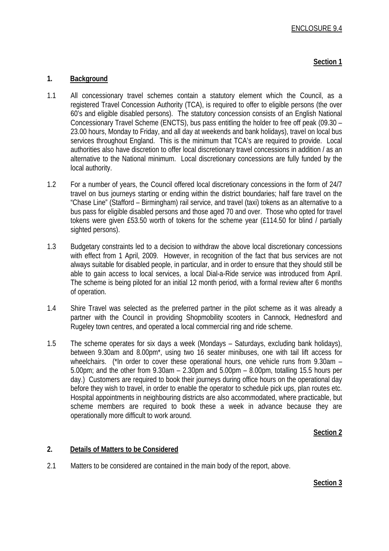# **Section 1**

# **1. Background**

- 1.1 All concessionary travel schemes contain a statutory element which the Council, as a registered Travel Concession Authority (TCA), is required to offer to eligible persons (the over 60's and eligible disabled persons). The statutory concession consists of an English National Concessionary Travel Scheme (ENCTS), bus pass entitling the holder to free off peak (09.30 – 23.00 hours, Monday to Friday, and all day at weekends and bank holidays), travel on local bus services throughout England. This is the minimum that TCA's are required to provide. Local authorities also have discretion to offer local discretionary travel concessions in addition / as an alternative to the National minimum. Local discretionary concessions are fully funded by the local authority.
- 1.2 For a number of years, the Council offered local discretionary concessions in the form of 24/7 travel on bus journeys starting or ending within the district boundaries; half fare travel on the "Chase Line" (Stafford – Birmingham) rail service, and travel (taxi) tokens as an alternative to a bus pass for eligible disabled persons and those aged 70 and over. Those who opted for travel tokens were given £53.50 worth of tokens for the scheme year (£114.50 for blind / partially sighted persons).
- 1.3 Budgetary constraints led to a decision to withdraw the above local discretionary concessions with effect from 1 April, 2009. However, in recognition of the fact that bus services are not always suitable for disabled people, in particular, and in order to ensure that they should still be able to gain access to local services, a local Dial-a-Ride service was introduced from April. The scheme is being piloted for an initial 12 month period, with a formal review after 6 months of operation.
- 1.4 Shire Travel was selected as the preferred partner in the pilot scheme as it was already a partner with the Council in providing Shopmobility scooters in Cannock, Hednesford and Rugeley town centres, and operated a local commercial ring and ride scheme.
- 1.5 The scheme operates for six days a week (Mondays Saturdays, excluding bank holidays), between 9.30am and 8.00pm\*, using two 16 seater minibuses, one with tail lift access for wheelchairs. (\*In order to cover these operational hours, one vehicle runs from 9.30am – 5.00pm; and the other from 9.30am – 2.30pm and 5.00pm – 8.00pm, totalling 15.5 hours per day.) Customers are required to book their journeys during office hours on the operational day before they wish to travel, in order to enable the operator to schedule pick ups, plan routes etc. Hospital appointments in neighbouring districts are also accommodated, where practicable, but scheme members are required to book these a week in advance because they are operationally more difficult to work around.

# **Section 2**

# **2. Details of Matters to be Considered**

2.1 Matters to be considered are contained in the main body of the report, above.

#### **Section 3**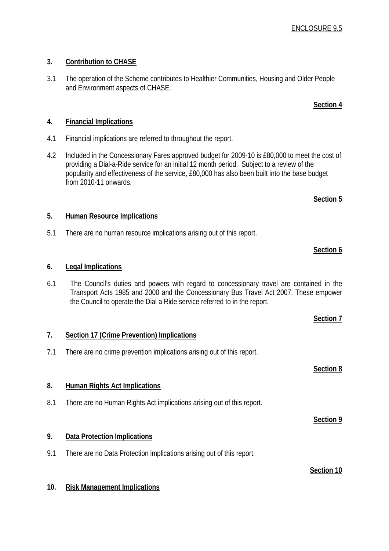# **3. Contribution to CHASE**

3.1 The operation of the Scheme contributes to Healthier Communities, Housing and Older People and Environment aspects of CHASE.

# **4. Financial Implications**

- 4.1 Financial implications are referred to throughout the report.
- 4.2 Included in the Concessionary Fares approved budget for 2009-10 is £80,000 to meet the cost of providing a Dial-a-Ride service for an initial 12 month period. Subject to a review of the popularity and effectiveness of the service, £80,000 has also been built into the base budget from 2010-11 onwards.

# **5. Human Resource Implications**

5.1 There are no human resource implications arising out of this report.

# **6. Legal Implications**

6.1 The Council's duties and powers with regard to concessionary travel are contained in the Transport Acts 1985 and 2000 and the Concessionary Bus Travel Act 2007. These empower the Council to operate the Dial a Ride service referred to in the report.

# **7. Section 17 (Crime Prevention) Implications** 7.1 There are no crime prevention implications arising out of this report. **Section 8 8. Human Rights Act Implications** 8.1 There are no Human Rights Act implications arising out of this report. **Section 9 9. Data Protection Implications** 9.1 There are no Data Protection implications arising out of this report. **Section 10**

# **10. Risk Management Implications**

# **Section 5**

**Section 6**

**Section 4**

# **Section 7**